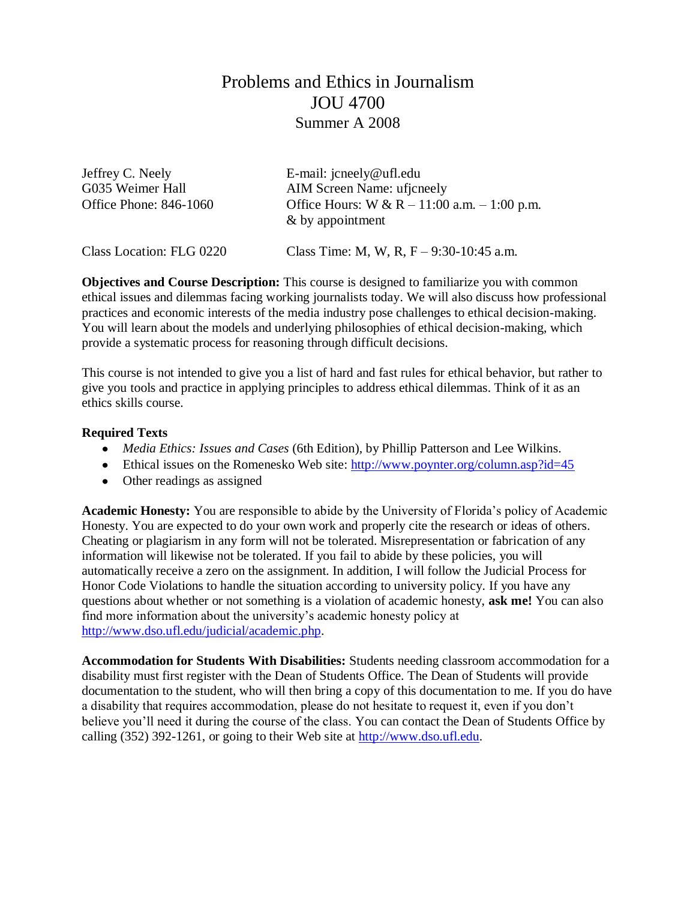# Problems and Ethics in Journalism JOU 4700 Summer A 2008

| Jeffrey C. Neely         | E-mail: $\text{icneely@}$ ufl.edu                                |  |  |
|--------------------------|------------------------------------------------------------------|--|--|
| G035 Weimer Hall         | AIM Screen Name: ufjcneely                                       |  |  |
| Office Phone: 846-1060   | Office Hours: W & R – 11:00 a.m. – 1:00 p.m.<br>& by appointment |  |  |
| Class Location: FLG 0220 | Class Time: M, W, R, $F - 9:30-10:45$ a.m.                       |  |  |

**Objectives and Course Description:** This course is designed to familiarize you with common ethical issues and dilemmas facing working journalists today. We will also discuss how professional practices and economic interests of the media industry pose challenges to ethical decision-making. You will learn about the models and underlying philosophies of ethical decision-making, which provide a systematic process for reasoning through difficult decisions.

This course is not intended to give you a list of hard and fast rules for ethical behavior, but rather to give you tools and practice in applying principles to address ethical dilemmas. Think of it as an ethics skills course.

#### **Required Texts**

- *Media Ethics: Issues and Cases* (6th Edition), by Phillip Patterson and Lee Wilkins.
- Ethical issues on the Romenesko Web site:<http://www.poynter.org/column.asp?id=45>
- Other readings as assigned

**Academic Honesty:** You are responsible to abide by the University of Florida's policy of Academic Honesty. You are expected to do your own work and properly cite the research or ideas of others. Cheating or plagiarism in any form will not be tolerated. Misrepresentation or fabrication of any information will likewise not be tolerated. If you fail to abide by these policies, you will automatically receive a zero on the assignment. In addition, I will follow the Judicial Process for Honor Code Violations to handle the situation according to university policy. If you have any questions about whether or not something is a violation of academic honesty, **ask me!** You can also find more information about the university's academic honesty policy at [http://www.dso.ufl.edu/judicial/academic.php.](http://www.dso.ufl.edu/judicial/academic.php)

**Accommodation for Students With Disabilities:** Students needing classroom accommodation for a disability must first register with the Dean of Students Office. The Dean of Students will provide documentation to the student, who will then bring a copy of this documentation to me. If you do have a disability that requires accommodation, please do not hesitate to request it, even if you don't believe you'll need it during the course of the class. You can contact the Dean of Students Office by calling (352) 392-1261, or going to their Web site at [http://www.dso.ufl.edu.](http://www.dso.ufl.edu/)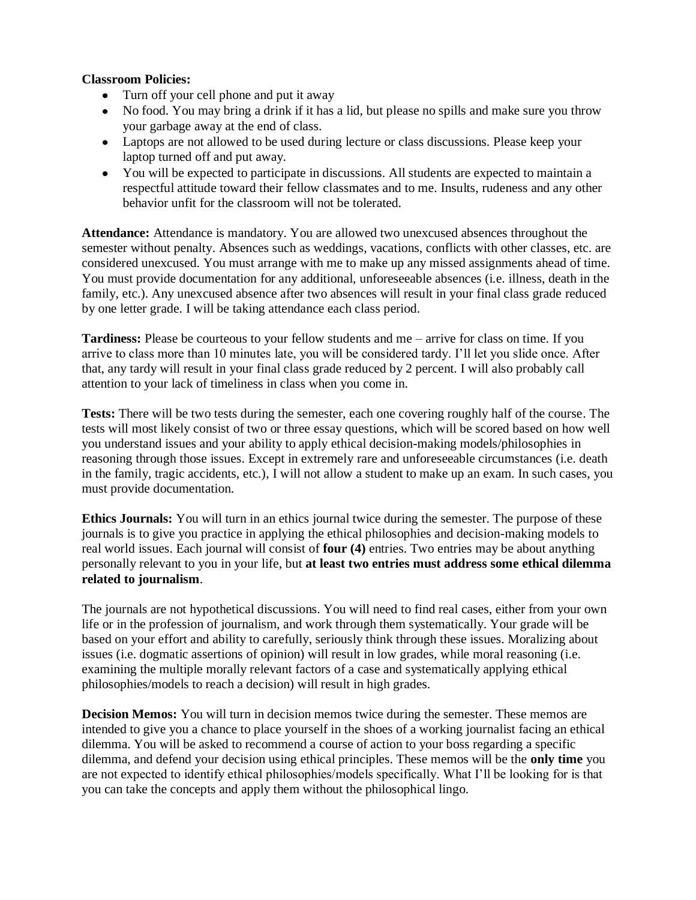### **Classroom Policies:**

- Turn off your cell phone and put it away
- No food. You may bring a drink if it has a lid, but please no spills and make sure you throw your garbage away at the end of class.
- Laptops are not allowed to be used during lecture or class discussions. Please keep your laptop turned off and put away.
- You will be expected to participate in discussions. All students are expected to maintain a respectful attitude toward their fellow classmates and to me. Insults, rudeness and any other behavior unfit for the classroom will not be tolerated.

**Attendance:** Attendance is mandatory. You are allowed two unexcused absences throughout the semester without penalty. Absences such as weddings, vacations, conflicts with other classes, etc. are considered unexcused. You must arrange with me to make up any missed assignments ahead of time. You must provide documentation for any additional, unforeseeable absences (i.e. illness, death in the family, etc.). Any unexcused absence after two absences will result in your final class grade reduced by one letter grade. I will be taking attendance each class period.

**Tardiness:** Please be courteous to your fellow students and me – arrive for class on time. If you arrive to class more than 10 minutes late, you will be considered tardy. I'll let you slide once. After that, any tardy will result in your final class grade reduced by 2 percent. I will also probably call attention to your lack of timeliness in class when you come in.

**Tests:** There will be two tests during the semester, each one covering roughly half of the course. The tests will most likely consist of two or three essay questions, which will be scored based on how well you understand issues and your ability to apply ethical decision-making models/philosophies in reasoning through those issues. Except in extremely rare and unforeseeable circumstances (i.e. death in the family, tragic accidents, etc.), I will not allow a student to make up an exam. In such cases, you must provide documentation.

**Ethics Journals:** You will turn in an ethics journal twice during the semester. The purpose of these journals is to give you practice in applying the ethical philosophies and decision-making models to real world issues. Each journal will consist of **four (4)** entries. Two entries may be about anything personally relevant to you in your life, but **at least two entries must address some ethical dilemma related to journalism**.

The journals are not hypothetical discussions. You will need to find real cases, either from your own life or in the profession of journalism, and work through them systematically. Your grade will be based on your effort and ability to carefully, seriously think through these issues. Moralizing about issues (i.e. dogmatic assertions of opinion) will result in low grades, while moral reasoning (i.e. examining the multiple morally relevant factors of a case and systematically applying ethical philosophies/models to reach a decision) will result in high grades.

**Decision Memos:** You will turn in decision memos twice during the semester. These memos are intended to give you a chance to place yourself in the shoes of a working journalist facing an ethical dilemma. You will be asked to recommend a course of action to your boss regarding a specific dilemma, and defend your decision using ethical principles. These memos will be the **only time** you are not expected to identify ethical philosophies/models specifically. What I'll be looking for is that you can take the concepts and apply them without the philosophical lingo.